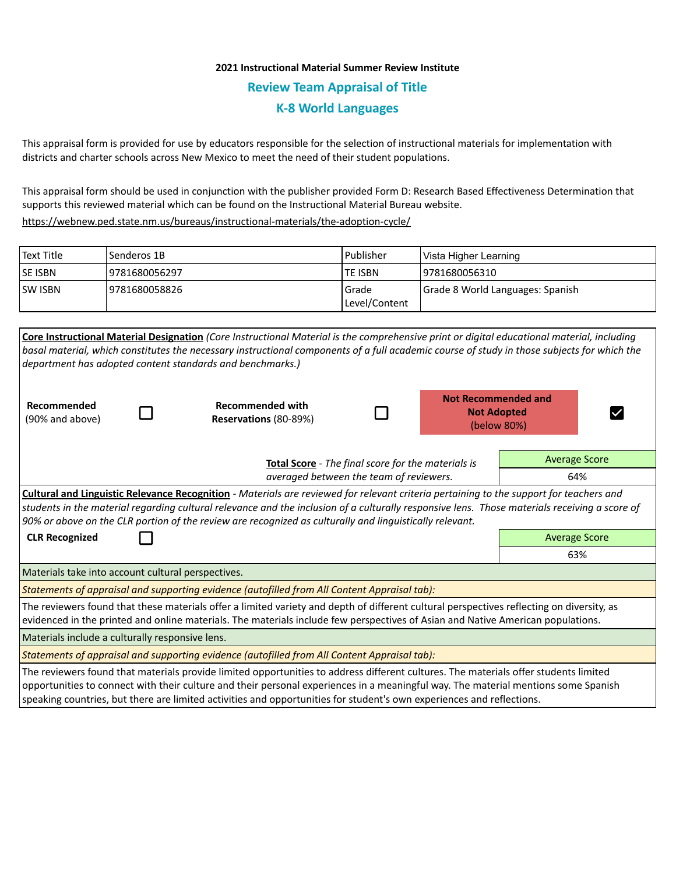# **2021 Instructional Material Summer Review Institute Review Team Appraisal of Title K-8 World Languages**

This appraisal form is provided for use by educators responsible for the selection of instructional materials for implementation with districts and charter schools across New Mexico to meet the need of their student populations.

This appraisal form should be used in conjunction with the publisher provided Form D: Research Based Effectiveness Determination that supports this reviewed material which can be found on the Instructional Material Bureau website.

<https://webnew.ped.state.nm.us/bureaus/instructional-materials/the-adoption-cycle/>

| Text Title     | Senderos 1B    | l Publisher               | Vista Higher Learning            |  |
|----------------|----------------|---------------------------|----------------------------------|--|
| <b>SE ISBN</b> | 9781680056297  | lte ISBN                  | 19781680056310                   |  |
| <b>SW ISBN</b> | 19781680058826 | l Grade<br> Level/Content | Grade 8 World Languages: Spanish |  |

|                                                                                                                                                                                                                                                                              |                                                    | Core Instructional Material Designation (Core Instructional Material is the comprehensive print or digital educational material, including<br>basal material, which constitutes the necessary instructional components of a full academic course of study in those subjects for which the<br>department has adopted content standards and benchmarks.)                                                     |                                         |  |                                                                 |     |  |
|------------------------------------------------------------------------------------------------------------------------------------------------------------------------------------------------------------------------------------------------------------------------------|----------------------------------------------------|------------------------------------------------------------------------------------------------------------------------------------------------------------------------------------------------------------------------------------------------------------------------------------------------------------------------------------------------------------------------------------------------------------|-----------------------------------------|--|-----------------------------------------------------------------|-----|--|
| Recommended<br>(90% and above)                                                                                                                                                                                                                                               |                                                    | <b>Recommended with</b><br>Reservations (80-89%)                                                                                                                                                                                                                                                                                                                                                           |                                         |  | <b>Not Recommended and</b><br><b>Not Adopted</b><br>(below 80%) |     |  |
|                                                                                                                                                                                                                                                                              | Total Score - The final score for the materials is |                                                                                                                                                                                                                                                                                                                                                                                                            |                                         |  | <b>Average Score</b>                                            |     |  |
|                                                                                                                                                                                                                                                                              |                                                    |                                                                                                                                                                                                                                                                                                                                                                                                            | averaged between the team of reviewers. |  |                                                                 | 64% |  |
|                                                                                                                                                                                                                                                                              |                                                    | <b>Cultural and Linguistic Relevance Recognition</b> - Materials are reviewed for relevant criteria pertaining to the support for teachers and<br>students in the material regarding cultural relevance and the inclusion of a culturally responsive lens. Those materials receiving a score of<br>90% or above on the CLR portion of the review are recognized as culturally and linguistically relevant. |                                         |  |                                                                 |     |  |
| <b>CLR Recognized</b>                                                                                                                                                                                                                                                        |                                                    |                                                                                                                                                                                                                                                                                                                                                                                                            |                                         |  | <b>Average Score</b>                                            |     |  |
|                                                                                                                                                                                                                                                                              |                                                    |                                                                                                                                                                                                                                                                                                                                                                                                            |                                         |  | 63%                                                             |     |  |
| Materials take into account cultural perspectives.                                                                                                                                                                                                                           |                                                    |                                                                                                                                                                                                                                                                                                                                                                                                            |                                         |  |                                                                 |     |  |
|                                                                                                                                                                                                                                                                              |                                                    | Statements of appraisal and supporting evidence (autofilled from All Content Appraisal tab):                                                                                                                                                                                                                                                                                                               |                                         |  |                                                                 |     |  |
| The reviewers found that these materials offer a limited variety and depth of different cultural perspectives reflecting on diversity, as<br>evidenced in the printed and online materials. The materials include few perspectives of Asian and Native American populations. |                                                    |                                                                                                                                                                                                                                                                                                                                                                                                            |                                         |  |                                                                 |     |  |
| Materials include a culturally responsive lens.                                                                                                                                                                                                                              |                                                    |                                                                                                                                                                                                                                                                                                                                                                                                            |                                         |  |                                                                 |     |  |
|                                                                                                                                                                                                                                                                              |                                                    | Statements of appraisal and supporting evidence (autofilled from All Content Appraisal tab):                                                                                                                                                                                                                                                                                                               |                                         |  |                                                                 |     |  |
|                                                                                                                                                                                                                                                                              |                                                    | The reviewers found that materials provide limited opportunities to address different cultures. The materials offer students limited<br>opportunities to connect with their culture and their personal experiences in a meaningful way. The material mentions some Spanish<br>speaking countries, but there are limited activities and opportunities for student's own experiences and reflections.        |                                         |  |                                                                 |     |  |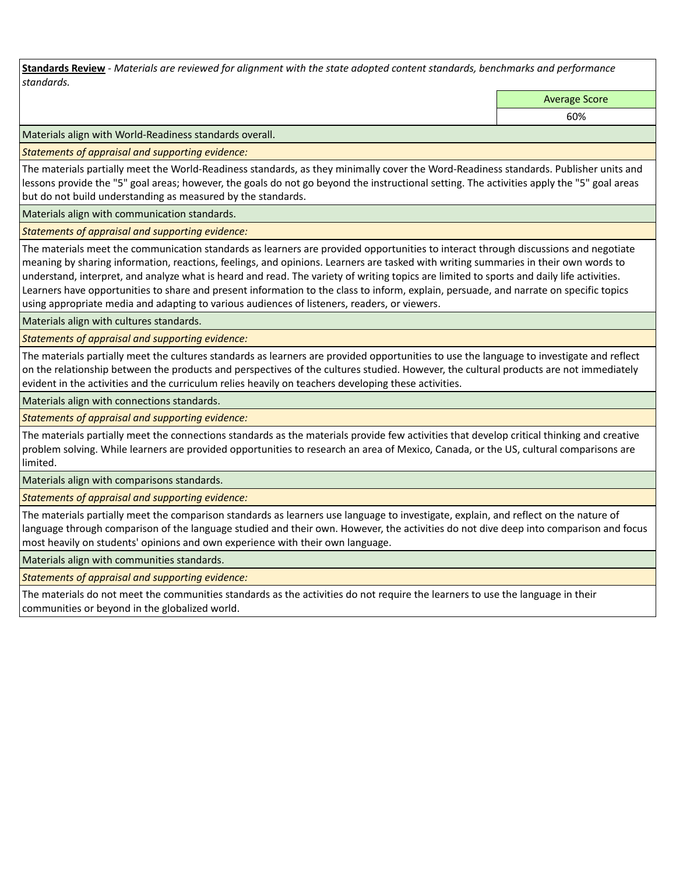**Standards Review** *- Materials are reviewed for alignment with the state adopted content standards, benchmarks and performance standards.*

Average Score

60%

Materials align with World-Readiness standards overall.

*Statements of appraisal and supporting evidence:* 

The materials partially meet the World-Readiness standards, as they minimally cover the Word-Readiness standards. Publisher units and lessons provide the "5" goal areas; however, the goals do not go beyond the instructional setting. The activities apply the "5" goal areas but do not build understanding as measured by the standards.

Materials align with communication standards.

*Statements of appraisal and supporting evidence:* 

The materials meet the communication standards as learners are provided opportunities to interact through discussions and negotiate meaning by sharing information, reactions, feelings, and opinions. Learners are tasked with writing summaries in their own words to understand, interpret, and analyze what is heard and read. The variety of writing topics are limited to sports and daily life activities. Learners have opportunities to share and present information to the class to inform, explain, persuade, and narrate on specific topics using appropriate media and adapting to various audiences of listeners, readers, or viewers.

Materials align with cultures standards.

*Statements of appraisal and supporting evidence:* 

The materials partially meet the cultures standards as learners are provided opportunities to use the language to investigate and reflect on the relationship between the products and perspectives of the cultures studied. However, the cultural products are not immediately evident in the activities and the curriculum relies heavily on teachers developing these activities.

Materials align with connections standards.

*Statements of appraisal and supporting evidence:* 

The materials partially meet the connections standards as the materials provide few activities that develop critical thinking and creative problem solving. While learners are provided opportunities to research an area of Mexico, Canada, or the US, cultural comparisons are limited.

Materials align with comparisons standards.

*Statements of appraisal and supporting evidence:* 

The materials partially meet the comparison standards as learners use language to investigate, explain, and reflect on the nature of language through comparison of the language studied and their own. However, the activities do not dive deep into comparison and focus most heavily on students' opinions and own experience with their own language.

Materials align with communities standards.

*Statements of appraisal and supporting evidence:* 

The materials do not meet the communities standards as the activities do not require the learners to use the language in their communities or beyond in the globalized world.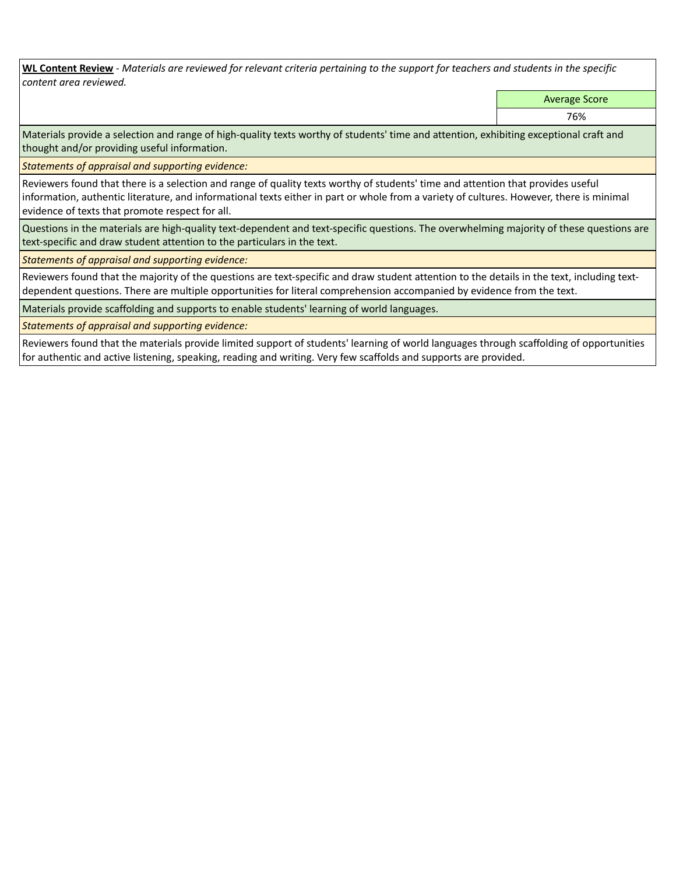**WL Content Review** *- Materials are reviewed for relevant criteria pertaining to the support for teachers and students in the specific content area reviewed.*

Average Score

76%

Materials provide a selection and range of high-quality texts worthy of students' time and attention, exhibiting exceptional craft and thought and/or providing useful information.

*Statements of appraisal and supporting evidence:* 

Reviewers found that there is a selection and range of quality texts worthy of students' time and attention that provides useful information, authentic literature, and informational texts either in part or whole from a variety of cultures. However, there is minimal evidence of texts that promote respect for all.

Questions in the materials are high-quality text-dependent and text-specific questions. The overwhelming majority of these questions are text-specific and draw student attention to the particulars in the text.

*Statements of appraisal and supporting evidence:* 

Reviewers found that the majority of the questions are text-specific and draw student attention to the details in the text, including textdependent questions. There are multiple opportunities for literal comprehension accompanied by evidence from the text.

Materials provide scaffolding and supports to enable students' learning of world languages.

*Statements of appraisal and supporting evidence:* 

Reviewers found that the materials provide limited support of students' learning of world languages through scaffolding of opportunities for authentic and active listening, speaking, reading and writing. Very few scaffolds and supports are provided.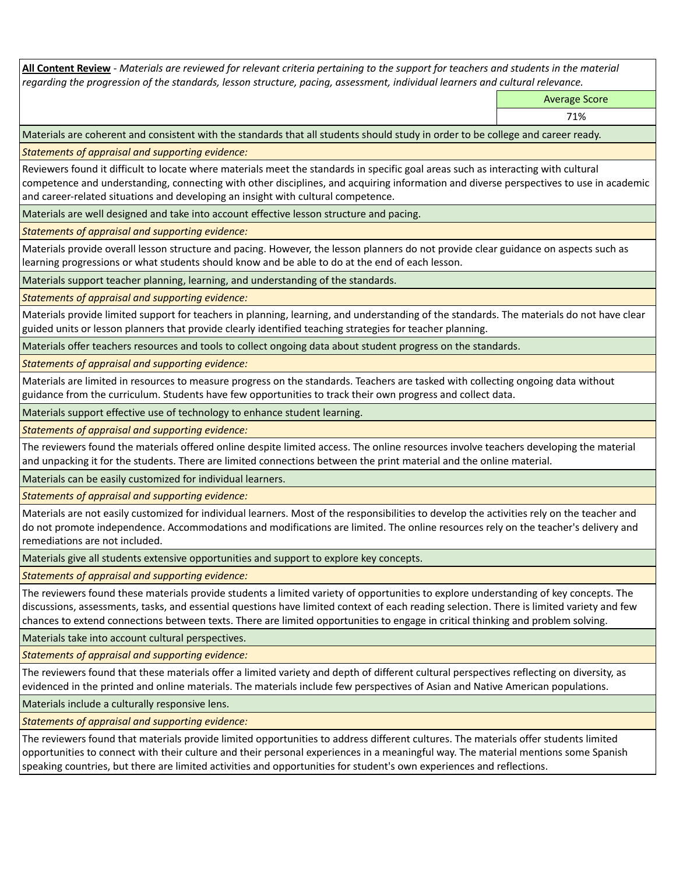**All Content Review** *- Materials are reviewed for relevant criteria pertaining to the support for teachers and students in the material regarding the progression of the standards, lesson structure, pacing, assessment, individual learners and cultural relevance.*

Average Score

71%

Materials are coherent and consistent with the standards that all students should study in order to be college and career ready.

*Statements of appraisal and supporting evidence:*

Reviewers found it difficult to locate where materials meet the standards in specific goal areas such as interacting with cultural competence and understanding, connecting with other disciplines, and acquiring information and diverse perspectives to use in academic and career-related situations and developing an insight with cultural competence.

Materials are well designed and take into account effective lesson structure and pacing.

*Statements of appraisal and supporting evidence:*

Materials provide overall lesson structure and pacing. However, the lesson planners do not provide clear guidance on aspects such as learning progressions or what students should know and be able to do at the end of each lesson.

Materials support teacher planning, learning, and understanding of the standards.

*Statements of appraisal and supporting evidence:*

Materials provide limited support for teachers in planning, learning, and understanding of the standards. The materials do not have clear guided units or lesson planners that provide clearly identified teaching strategies for teacher planning.

Materials offer teachers resources and tools to collect ongoing data about student progress on the standards.

*Statements of appraisal and supporting evidence:*

Materials are limited in resources to measure progress on the standards. Teachers are tasked with collecting ongoing data without guidance from the curriculum. Students have few opportunities to track their own progress and collect data.

Materials support effective use of technology to enhance student learning.

*Statements of appraisal and supporting evidence:*

The reviewers found the materials offered online despite limited access. The online resources involve teachers developing the material and unpacking it for the students. There are limited connections between the print material and the online material.

Materials can be easily customized for individual learners.

*Statements of appraisal and supporting evidence:* 

Materials are not easily customized for individual learners. Most of the responsibilities to develop the activities rely on the teacher and do not promote independence. Accommodations and modifications are limited. The online resources rely on the teacher's delivery and remediations are not included.

Materials give all students extensive opportunities and support to explore key concepts.

*Statements of appraisal and supporting evidence:*

The reviewers found these materials provide students a limited variety of opportunities to explore understanding of key concepts. The discussions, assessments, tasks, and essential questions have limited context of each reading selection. There is limited variety and few chances to extend connections between texts. There are limited opportunities to engage in critical thinking and problem solving.

Materials take into account cultural perspectives.

*Statements of appraisal and supporting evidence:*

The reviewers found that these materials offer a limited variety and depth of different cultural perspectives reflecting on diversity, as evidenced in the printed and online materials. The materials include few perspectives of Asian and Native American populations.

Materials include a culturally responsive lens.

*Statements of appraisal and supporting evidence:*

The reviewers found that materials provide limited opportunities to address different cultures. The materials offer students limited opportunities to connect with their culture and their personal experiences in a meaningful way. The material mentions some Spanish speaking countries, but there are limited activities and opportunities for student's own experiences and reflections.